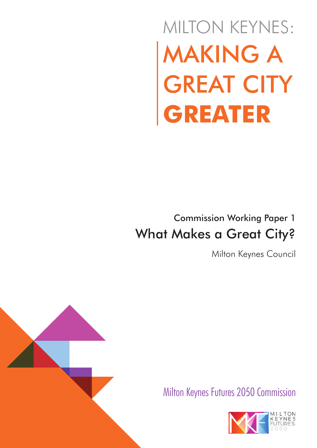# MAKING A GREAT CITY **GREATER** MILTON KEYNES:

## Commission Working Paper 1 What Makes a Great City?

Milton Keynes Council



Milton Keynes Futures 2050 Commission

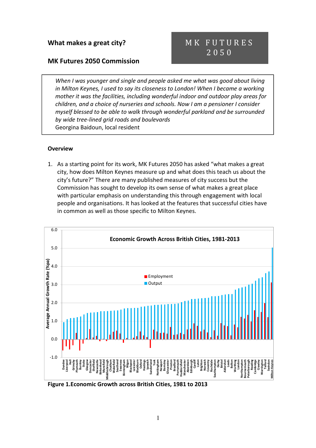#### MK Futures 2050 Commission

### MK FUTURES 2 0 5 0

When I was younger and single and people asked me what was good about living in Milton Keynes, I used to say its closeness to London! When I became a working mother it was the facilities, including wonderful indoor and outdoor play areas for children, and a choice of nurseries and schools. Now I am a pensioner I consider myself blessed to be able to walk through wonderful parkland and be surrounded by wide tree-lined grid roads and boulevards Georgina Baidoun, local resident

#### **Overview**

1. As a starting point for its work, MK Futures 2050 has asked "what makes a great city, how does Milton Keynes measure up and what does this teach us about the city's future?" There are many published measures of city success but the Commission has sought to develop its own sense of what makes a great place with particular emphasis on understanding this through engagement with local people and organisations. It has looked at the features that successful cities have in common as well as those specific to Milton Keynes.



Figure 1.Economic Growth across British Cities, 1981 to 2013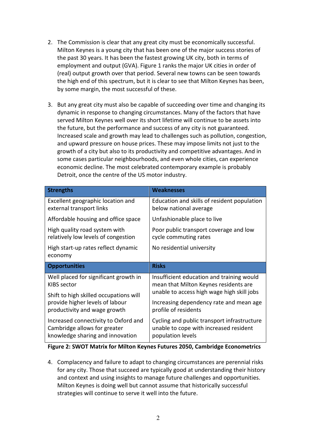- 2. The Commission is clear that any great city must be economically successful. Milton Keynes is a young city that has been one of the major success stories of the past 30 years. It has been the fastest growing UK city, both in terms of employment and output (GVA). Figure 1 ranks the major UK cities in order of (real) output growth over that period. Several new towns can be seen towards the high end of this spectrum, but it is clear to see that Milton Keynes has been, by some margin, the most successful of these.
- 3. But any great city must also be capable of succeeding over time and changing its dynamic in response to changing circumstances. Many of the factors that have served Milton Keynes well over its short lifetime will continue to be assets into the future, but the performance and success of any city is not guaranteed. Increased scale and growth may lead to challenges such as pollution, congestion, and upward pressure on house prices. These may impose limits not just to the growth of a city but also to its productivity and competitive advantages. And in some cases particular neighbourhoods, and even whole cities, can experience economic decline. The most celebrated contemporary example is probably Detroit, once the centre of the US motor industry.

| <b>Strengths</b>                                                     | <b>Weaknesses</b>                                                                  |
|----------------------------------------------------------------------|------------------------------------------------------------------------------------|
| Excellent geographic location and<br>external transport links        | Education and skills of resident population<br>below national average              |
| Affordable housing and office space                                  | Unfashionable place to live                                                        |
| High quality road system with<br>relatively low levels of congestion | Poor public transport coverage and low<br>cycle commuting rates                    |
| High start-up rates reflect dynamic<br>economy                       | No residential university                                                          |
| <b>Opportunities</b>                                                 | <b>Risks</b>                                                                       |
|                                                                      |                                                                                    |
| Well placed for significant growth in<br><b>KIBS</b> sector          | Insufficient education and training would<br>mean that Milton Keynes residents are |
| Shift to high skilled occupations will                               | unable to access high wage high skill jobs                                         |
| provide higher levels of labour<br>productivity and wage growth      | Increasing dependency rate and mean age<br>profile of residents                    |

#### Figure 2: SWOT Matrix for Milton Keynes Futures 2050, Cambridge Econometrics

4. Complacency and failure to adapt to changing circumstances are perennial risks for any city. Those that succeed are typically good at understanding their history and context and using insights to manage future challenges and opportunities. Milton Keynes is doing well but cannot assume that historically successful strategies will continue to serve it well into the future.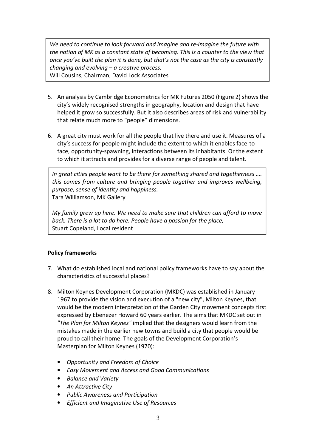We need to continue to look forward and imagine and re-imagine the future with the notion of MK as a constant state of becoming. This is a counter to the view that once you've built the plan it is done, but that's not the case as the city is constantly changing and evolving – a creative process. Will Cousins, Chairman, David Lock Associates

- 5. An analysis by Cambridge Econometrics for MK Futures 2050 (Figure 2) shows the city's widely recognised strengths in geography, location and design that have helped it grow so successfully. But it also describes areas of risk and vulnerability that relate much more to "people" dimensions.
- 6. A great city must work for all the people that live there and use it. Measures of a city's success for people might include the extent to which it enables face-toface, opportunity-spawning, interactions between its inhabitants. Or the extent to which it attracts and provides for a diverse range of people and talent.

 $\vert$  In great cities people want to be there for something shared and togetherness .... this comes from culture and bringing people together and improves wellbeing, purpose, sense of identity and happiness. Tara Williamson, MK Gallery

My family grew up here. We need to make sure that children can afford to move back. There is a lot to do here. People have a passion for the place, Stuart Copeland, Local resident

#### Policy frameworks

- 7. What do established local and national policy frameworks have to say about the characteristics of successful places?
- 8. Milton Keynes Development Corporation (MKDC) was established in January 1967 to provide the vision and execution of a "new city", Milton Keynes, that would be the modern interpretation of the Garden City movement concepts first expressed by Ebenezer Howard 60 years earlier. The aims that MKDC set out in "The Plan for Milton Keynes" implied that the designers would learn from the mistakes made in the earlier new towns and build a city that people would be proud to call their home. The goals of the Development Corporation's Masterplan for Milton Keynes (1970):
	- Opportunity and Freedom of Choice
	- Easy Movement and Access and Good Communications
	- Balance and Variety
	- An Attractive City
	- Public Awareness and Participation
	- Efficient and Imaginative Use of Resources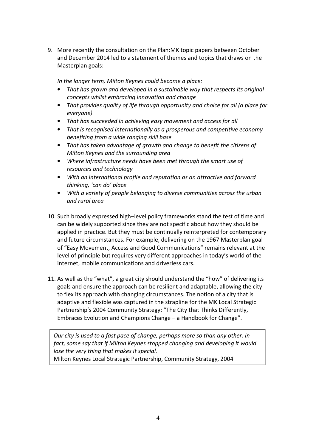9. More recently the consultation on the Plan:MK topic papers between October and December 2014 led to a statement of themes and topics that draws on the Masterplan goals:

In the longer term, Milton Keynes could become a place:

- That has grown and developed in a sustainable way that respects its original concepts whilst embracing innovation and change
- That provides quality of life through opportunity and choice for all (a place for everyone)
- That has succeeded in achieving easy movement and access for all
- That is recognised internationally as a prosperous and competitive economy benefiting from a wide ranging skill base
- That has taken advantage of growth and change to benefit the citizens of Milton Keynes and the surrounding area
- Where infrastructure needs have been met through the smart use of resources and technology
- With an international profile and reputation as an attractive and forward thinking, 'can do' place
- With a variety of people belonging to diverse communities across the urban and rural area
- 10. Such broadly expressed high–level policy frameworks stand the test of time and can be widely supported since they are not specific about how they should be applied in practice. But they must be continually reinterpreted for contemporary and future circumstances. For example, delivering on the 1967 Masterplan goal of "Easy Movement, Access and Good Communications" remains relevant at the level of principle but requires very different approaches in today's world of the internet, mobile communications and driverless cars.
- 11. As well as the "what", a great city should understand the "how" of delivering its goals and ensure the approach can be resilient and adaptable, allowing the city to flex its approach with changing circumstances. The notion of a city that is adaptive and flexible was captured in the strapline for the MK Local Strategic Partnership's 2004 Community Strategy: "The City that Thinks Differently, Embraces Evolution and Champions Change – a Handbook for Change".

Our city is used to a fast pace of change, perhaps more so than any other. In fact, some say that if Milton Keynes stopped changing and developing it would lose the very thing that makes it special.

Milton Keynes Local Strategic Partnership, Community Strategy, 2004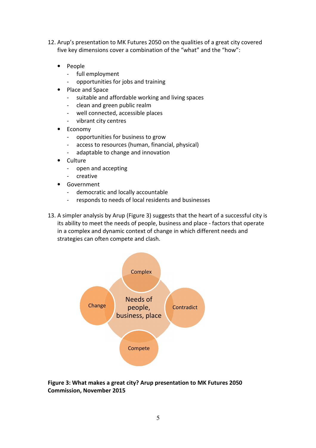- 12. Arup's presentation to MK Futures 2050 on the qualities of a great city covered five key dimensions cover a combination of the "what" and the "how":
	- People
		- full employment
		- opportunities for jobs and training
	- Place and Space
		- suitable and affordable working and living spaces
		- clean and green public realm
		- well connected, accessible places
		- vibrant city centres
	- Economy
		- opportunities for business to grow
		- access to resources (human, financial, physical)
		- adaptable to change and innovation
	- Culture
		- open and accepting
		- creative
	- Government
		- democratic and locally accountable
		- responds to needs of local residents and businesses
- 13. A simpler analysis by Arup (Figure 3) suggests that the heart of a successful city is its ability to meet the needs of people, business and place - factors that operate in a complex and dynamic context of change in which different needs and strategies can often compete and clash.



Figure 3: What makes a great city? Arup presentation to MK Futures 2050 Commission, November 2015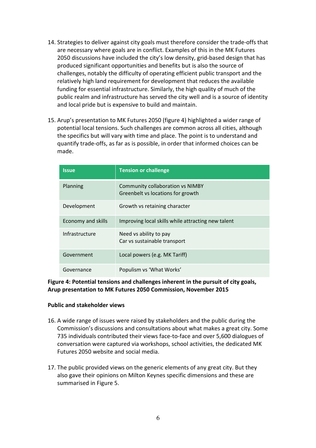- 14. Strategies to deliver against city goals must therefore consider the trade-offs that are necessary where goals are in conflict. Examples of this in the MK Futures 2050 discussions have included the city's low density, grid-based design that has produced significant opportunities and benefits but is also the source of challenges, notably the difficulty of operating efficient public transport and the relatively high land requirement for development that reduces the available funding for essential infrastructure. Similarly, the high quality of much of the public realm and infrastructure has served the city well and is a source of identity and local pride but is expensive to build and maintain.
- 15. Arup's presentation to MK Futures 2050 (figure 4) highlighted a wider range of potential local tensions. Such challenges are common across all cities, although the specifics but will vary with time and place. The point is to understand and quantify trade-offs, as far as is possible, in order that informed choices can be made.

| <b>Issue</b>              | <b>Tension or challenge</b>                                                  |
|---------------------------|------------------------------------------------------------------------------|
| Planning                  | <b>Community collaboration vs NIMBY</b><br>Greenbelt vs locations for growth |
| Development               | Growth vs retaining character                                                |
| <b>Economy and skills</b> | Improving local skills while attracting new talent                           |
| Infrastructure            | Need vs ability to pay<br>Car vs sustainable transport                       |
| Government                | Local powers (e.g. MK Tariff)                                                |
| Governance                | Populism vs 'What Works'                                                     |

#### Figure 4: Potential tensions and challenges inherent in the pursuit of city goals, Arup presentation to MK Futures 2050 Commission, November 2015

#### Public and stakeholder views

- 16. A wide range of issues were raised by stakeholders and the public during the Commission's discussions and consultations about what makes a great city. Some 735 individuals contributed their views face-to-face and over 5,600 dialogues of conversation were captured via workshops, school activities, the dedicated MK Futures 2050 website and social media.
- 17. The public provided views on the generic elements of any great city. But they also gave their opinions on Milton Keynes specific dimensions and these are summarised in Figure 5.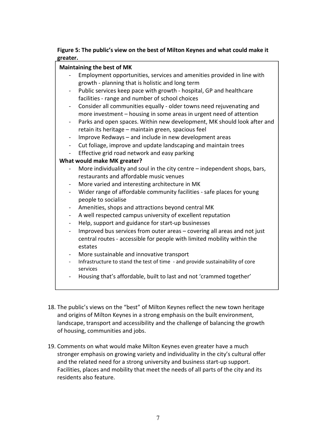#### Figure 5: The public's view on the best of Milton Keynes and what could make it greater.

#### Maintaining the best of MK

- Employment opportunities, services and amenities provided in line with growth - planning that is holistic and long term
- Public services keep pace with growth hospital, GP and healthcare facilities - range and number of school choices
- Consider all communities equally older towns need rejuvenating and more investment – housing in some areas in urgent need of attention
- Parks and open spaces. Within new development, MK should look after and retain its heritage – maintain green, spacious feel
- Improve Redways and include in new development areas
- Cut foliage, improve and update landscaping and maintain trees
- Effective grid road network and easy parking

#### What would make MK greater?

- More individuality and soul in the city centre independent shops, bars, restaurants and affordable music venues
- More varied and interesting architecture in MK
- Wider range of affordable community facilities safe places for young people to socialise
- Amenities, shops and attractions beyond central MK
- A well respected campus university of excellent reputation
- Help, support and guidance for start-up businesses
- Improved bus services from outer areas covering all areas and not just central routes - accessible for people with limited mobility within the estates
- More sustainable and innovative transport
- Infrastructure to stand the test of time and provide sustainability of core services
- Housing that's affordable, built to last and not 'crammed together'
- 18. The public's views on the "best" of Milton Keynes reflect the new town heritage and origins of Milton Keynes in a strong emphasis on the built environment, landscape, transport and accessibility and the challenge of balancing the growth of housing, communities and jobs.
- 19. Comments on what would make Milton Keynes even greater have a much stronger emphasis on growing variety and individuality in the city's cultural offer and the related need for a strong university and business start-up support. Facilities, places and mobility that meet the needs of all parts of the city and its residents also feature.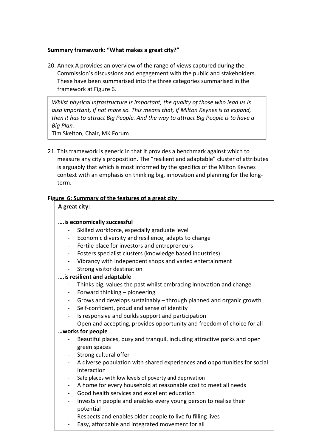#### Summary framework: "What makes a great city?"

20. Annex A provides an overview of the range of views captured during the Commission's discussions and engagement with the public and stakeholders. These have been summarised into the three categories summarised in the framework at Figure 6.

Whilst physical infrastructure is important, the quality of those who lead us is also important, if not more so. This means that, if Milton Keynes is to expand, then it has to attract Big People. And the way to attract Big People is to have a Big Plan.

Tim Skelton, Chair, MK Forum

21. This framework is generic in that it provides a benchmark against which to measure any city's proposition. The "resilient and adaptable" cluster of attributes is arguably that which is most informed by the specifics of the Milton Keynes context with an emphasis on thinking big, innovation and planning for the longterm.

#### Figure 6: Summary of the features of a great city

#### A great city:

#### ….is economically successful

- Skilled workforce, especially graduate level
- Economic diversity and resilience, adapts to change
- Fertile place for investors and entrepreneurs
- Fosters specialist clusters (knowledge based industries)
- Vibrancy with independent shops and varied entertainment
- Strong visitor destination

#### ….is resilient and adaptable

- Thinks big, values the past whilst embracing innovation and change
- Forward thinking pioneering
- Grows and develops sustainably through planned and organic growth
- Self-confident, proud and sense of identity
- Is responsive and builds support and participation
- Open and accepting, provides opportunity and freedom of choice for all

#### …works for people

- Beautiful places, busy and tranquil, including attractive parks and open green spaces
- Strong cultural offer
- A diverse population with shared experiences and opportunities for social interaction
- Safe places with low levels of poverty and deprivation
- A home for every household at reasonable cost to meet all needs
- Good health services and excellent education
- Invests in people and enables every young person to realise their potential
- Respects and enables older people to live fulfilling lives
- Easy, affordable and integrated movement for all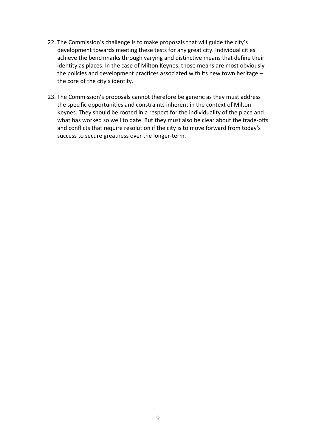- 22. The Commission's challenge is to make proposals that will guide the city's development towards meeting these tests for any great city. Individual cities achieve the benchmarks through varying and distinctive means that define their identity as places. In the case of Milton Keynes, those means are most obviously the policies and development practices associated with its new town heritage – the core of the city's identity.
- 23. The Commission's proposals cannot therefore be generic as they must address the specific opportunities and constraints inherent in the context of Milton Keynes. They should be rooted in a respect for the individuality of the place and what has worked so well to date. But they must also be clear about the trade-offs and conflicts that require resolution if the city is to move forward from today's success to secure greatness over the longer-term.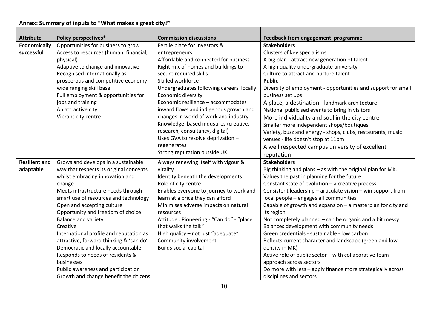#### Annex: Summary of inputs to "What makes a great city?"

| <b>Attribute</b>     | <b>Policy perspectives*</b>             | <b>Commission discussions</b>            | Feedback from engagement programme                            |
|----------------------|-----------------------------------------|------------------------------------------|---------------------------------------------------------------|
| <b>Economically</b>  | Opportunities for business to grow      | Fertile place for investors &            | <b>Stakeholders</b>                                           |
| successful           | Access to resources (human, financial,  | entrepreneurs                            | Clusters of key specialisms                                   |
|                      | physical)                               | Affordable and connected for business    | A big plan - attract new generation of talent                 |
|                      | Adaptive to change and innovative       | Right mix of homes and buildings to      | A high quality undergraduate university                       |
|                      | Recognised internationally as           | secure required skills                   | Culture to attract and nurture talent                         |
|                      | prosperous and competitive economy -    | Skilled workforce                        | <b>Public</b>                                                 |
|                      | wide ranging skill base                 | Undergraduates following careers locally | Diversity of employment - opportunities and support for small |
|                      | Full employment & opportunities for     | Economic diversity                       | business set ups                                              |
|                      | jobs and training                       | Economic resilience - accommodates       | A place, a destination - landmark architecture                |
|                      | An attractive city                      | inward flows and indigenous growth and   | National publicised events to bring in visitors               |
|                      | Vibrant city centre                     | changes in world of work and industry    | More individuality and soul in the city centre                |
|                      |                                         | Knowledge based industries (creative,    | Smaller more independent shops/boutiques                      |
|                      |                                         | research, consultancy, digital)          | Variety, buzz and energy - shops, clubs, restaurants, music   |
|                      |                                         | Uses GVA to resolve deprivation -        | venues - life doesn't stop at 11pm                            |
|                      |                                         | regenerates                              | A well respected campus university of excellent               |
|                      |                                         | Strong reputation outside UK             | reputation                                                    |
| <b>Resilient and</b> | Grows and develops in a sustainable     | Always renewing itself with vigour &     | <b>Stakeholders</b>                                           |
| adaptable            | way that respects its original concepts | vitality                                 | Big thinking and plans - as with the original plan for MK.    |
|                      | whilst embracing innovation and         | Identity beneath the developments        | Values the past in planning for the future                    |
|                      | change                                  | Role of city centre                      | Constant state of evolution - a creative process              |
|                      | Meets infrastructure needs through      | Enables everyone to journey to work and  | Consistent leadership - articulate vision - win support from  |
|                      | smart use of resources and technology   | learn at a price they can afford         | local people - engages all communities                        |
|                      | Open and accepting culture              | Minimises adverse impacts on natural     | Capable of growth and expansion - a masterplan for city and   |
|                      | Opportunity and freedom of choice       | resources                                | its region                                                    |
|                      | Balance and variety                     | Attitude: Pioneering - "Can do" - "place | Not completely planned - can be organic and a bit messy       |
|                      | Creative                                | that walks the talk"                     | Balances development with community needs                     |
|                      | International profile and reputation as | High quality - not just "adequate"       | Green credentials - sustainable - low carbon                  |
|                      | attractive, forward thinking & 'can do' | Community involvement                    | Reflects current character and landscape (green and low       |
|                      | Democratic and locally accountable      | <b>Builds social capital</b>             | density in MK)                                                |
|                      | Responds to needs of residents &        |                                          | Active role of public sector - with collaborative team        |
|                      | businesses                              |                                          | approach across sectors                                       |
|                      | Public awareness and participation      |                                          | Do more with less - apply finance more strategically across   |
|                      | Growth and change benefit the citizens  |                                          | disciplines and sectors                                       |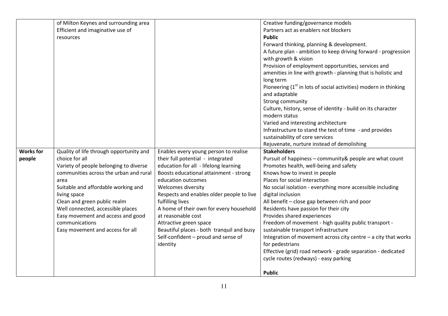|                  | of Milton Keynes and surrounding area   |                                           | Creative funding/governance models                                 |
|------------------|-----------------------------------------|-------------------------------------------|--------------------------------------------------------------------|
|                  | Efficient and imaginative use of        |                                           | Partners act as enablers not blockers                              |
|                  | resources                               |                                           | <b>Public</b>                                                      |
|                  |                                         |                                           | Forward thinking, planning & development.                          |
|                  |                                         |                                           | A future plan - ambition to keep driving forward - progression     |
|                  |                                         |                                           | with growth & vision                                               |
|                  |                                         |                                           | Provision of employment opportunities, services and                |
|                  |                                         |                                           | amenities in line with growth - planning that is holistic and      |
|                  |                                         |                                           | long term                                                          |
|                  |                                         |                                           | Pioneering $(1st$ in lots of social activities) modern in thinking |
|                  |                                         |                                           | and adaptable                                                      |
|                  |                                         |                                           | Strong community                                                   |
|                  |                                         |                                           | Culture, history, sense of identity - build on its character       |
|                  |                                         |                                           | modern status                                                      |
|                  |                                         |                                           | Varied and interesting architecture                                |
|                  |                                         |                                           | Infrastructure to stand the test of time - and provides            |
|                  |                                         |                                           | sustainability of core services                                    |
|                  |                                         |                                           | Rejuvenate, nurture instead of demolishing                         |
| <b>Works for</b> | Quality of life through opportunity and | Enables every young person to realise     | <b>Stakeholders</b>                                                |
| people           | choice for all                          | their full potential - integrated         | Pursuit of happiness - community& people are what count            |
|                  |                                         |                                           |                                                                    |
|                  | Variety of people belonging to diverse  | education for all - lifelong learning     | Promotes health, well-being and safety                             |
|                  | communities across the urban and rural  | Boosts educational attainment - strong    | Knows how to invest in people                                      |
|                  | area                                    | education outcomes                        | Places for social interaction                                      |
|                  | Suitable and affordable working and     | <b>Welcomes diversity</b>                 | No social isolation - everything more accessible including         |
|                  | living space                            | Respects and enables older people to live | digital inclusion                                                  |
|                  | Clean and green public realm            | fulfilling lives                          | All benefit - close gap between rich and poor                      |
|                  | Well connected, accessible places       | A home of their own for every household   | Residents have passion for their city                              |
|                  | Easy movement and access and good       | at reasonable cost                        | Provides shared experiences                                        |
|                  | communications                          | Attractive green space                    | Freedom of movement - high quality public transport -              |
|                  | Easy movement and access for all        | Beautiful places - both tranquil and busy | sustainable transport infrastructure                               |
|                  |                                         | Self-confident - proud and sense of       | Integration of movement across city centre $-$ a city that works   |
|                  |                                         | identity                                  | for pedestrians                                                    |
|                  |                                         |                                           | Effective (grid) road network - grade separation - dedicated       |
|                  |                                         |                                           | cycle routes (redways) - easy parking                              |
|                  |                                         |                                           | <b>Public</b>                                                      |